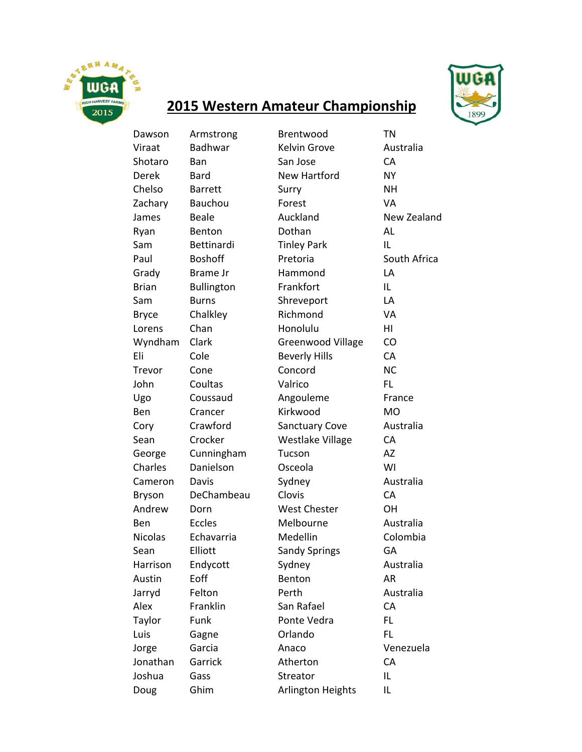

## **2015 Western Amateur Championship**

Dawson Armstrong Brentwood TN Viraat Badhwar Kelvin Grove Australia Shotaro Ban San Jose CA Derek Bard New Hartford NY Chelso Barrett Surry NH Zachary Bauchou **Forest** VA James Beale **Auckland** New Zealand Ryan Benton Dothan AL Sam Bettinardi Tinley Park IL Paul Boshoff Pretoria South Africa Grady Brame Jr Hammond LA Brian Bullington Frankfort IL Sam Burns Shreveport LA Bryce Chalkley Richmond VA Lorens Chan Honolulu HI Wyndham Clark Greenwood Village CO Eli Cole Beverly Hills CA Trevor Cone Concord NC John Coultas Valrico FL Ugo Coussaud Angouleme France Ben Crancer Kirkwood MO Cory Crawford Sanctuary Cove Australia Sean Crocker Westlake Village CA George Cunningham Tucson AZ Charles Danielson Osceola WI Cameron Davis Sydney Australia Bryson DeChambeau Clovis CA Andrew Dorn West Chester OH Ben Eccles Melbourne Australia Nicolas Echavarria Medellin Colombia Sean Elliott Sandy Springs GA Harrison Endycott Sydney Australia Austin Eoff Benton AR Jarryd Felton Perth Australia Alex Franklin San Rafael CA Taylor Funk Ponte Vedra FL Luis Gagne Orlando FL Jorge Garcia Anaco Venezuela Jonathan Garrick Atherton CA Joshua Gass Streator IL Doug Ghim Arlington Heights IL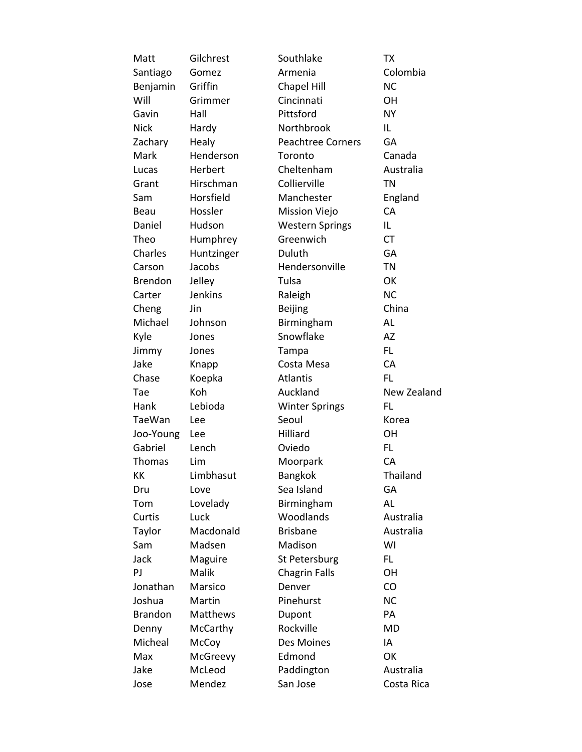| Matt           | Gilchrest  | Southlake                | <b>TX</b>   |
|----------------|------------|--------------------------|-------------|
| Santiago       | Gomez      | Armenia                  | Colombia    |
| Benjamin       | Griffin    | <b>Chapel Hill</b>       | <b>NC</b>   |
| Will           | Grimmer    | Cincinnati               | OH          |
| Gavin          | Hall       | Pittsford                | <b>NY</b>   |
| <b>Nick</b>    | Hardy      | Northbrook               | IL          |
| Zachary        | Healy      | <b>Peachtree Corners</b> | GA          |
| Mark           | Henderson  | Toronto                  | Canada      |
| Lucas          | Herbert    | Cheltenham               | Australia   |
| Grant          | Hirschman  | Collierville             | <b>TN</b>   |
| Sam            | Horsfield  | Manchester               | England     |
| Beau           | Hossler    | <b>Mission Viejo</b>     | CA          |
| Daniel         | Hudson     | <b>Western Springs</b>   | IL          |
| Theo           | Humphrey   | Greenwich                | <b>CT</b>   |
| Charles        | Huntzinger | Duluth                   | <b>GA</b>   |
| Carson         | Jacobs     | Hendersonville           | <b>TN</b>   |
| Brendon        | Jelley     | Tulsa                    | OK          |
| Carter         | Jenkins    | Raleigh                  | <b>NC</b>   |
| Cheng          | Jin        | <b>Beijing</b>           | China       |
| Michael        | Johnson    | Birmingham               | AL          |
| Kyle           | Jones      | Snowflake                | AZ          |
| Jimmy          | Jones      | Tampa                    | FL.         |
| Jake           | Knapp      | Costa Mesa               | CA          |
| Chase          | Koepka     | Atlantis                 | <b>FL</b>   |
| Tae            | Koh        | Auckland                 | New Zealand |
| Hank           | Lebioda    | <b>Winter Springs</b>    | <b>FL</b>   |
| <b>TaeWan</b>  | Lee        | Seoul                    | Korea       |
| Joo-Young      | Lee        | Hilliard                 | OН          |
| Gabriel        | Lench      | Oviedo                   | FL          |
| Thomas         | Lim        | Moorpark                 | CA          |
| KK             | Limbhasut  | <b>Bangkok</b>           | Thailand    |
| Dru            | Love       | Sea Island               | GA          |
| Tom            | Lovelady   | Birmingham               | AL          |
| Curtis         | Luck       | Woodlands                | Australia   |
| Taylor         | Macdonald  | <b>Brisbane</b>          | Australia   |
| Sam            | Madsen     | Madison                  | WI          |
| Jack           | Maguire    | St Petersburg            | FL          |
| PJ             | Malik      | <b>Chagrin Falls</b>     | OH          |
| Jonathan       | Marsico    | Denver                   | CO          |
| Joshua         | Martin     | Pinehurst                | <b>NC</b>   |
| <b>Brandon</b> | Matthews   | Dupont                   | PA          |
| Denny          | McCarthy   | Rockville                | <b>MD</b>   |
| Micheal        | McCoy      | Des Moines               | IA          |
| Max            | McGreevy   | Edmond                   | OK          |
| Jake           | McLeod     | Paddington               | Australia   |
| Jose           | Mendez     | San Jose                 | Costa Rica  |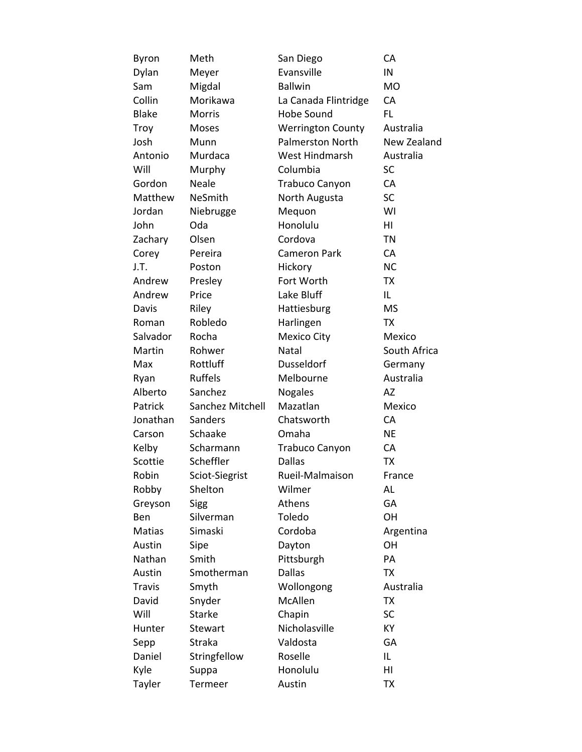| Byron         | Meth             | San Diego                | CA           |
|---------------|------------------|--------------------------|--------------|
| Dylan         | Meyer            | Evansville               | IN           |
| Sam           | Migdal           | <b>Ballwin</b>           | <b>MO</b>    |
| Collin        | Morikawa         | La Canada Flintridge     | CA           |
| <b>Blake</b>  | <b>Morris</b>    | <b>Hobe Sound</b>        | FL.          |
| Troy          | Moses            | <b>Werrington County</b> | Australia    |
| Josh          | Munn             | <b>Palmerston North</b>  | New Zealand  |
| Antonio       | Murdaca          | West Hindmarsh           | Australia    |
| Will          | Murphy           | Columbia                 | <b>SC</b>    |
| Gordon        | <b>Neale</b>     | Trabuco Canyon           | CA           |
| Matthew       | NeSmith          | North Augusta            | <b>SC</b>    |
| Jordan        | Niebrugge        | Mequon                   | WI           |
| John          | Oda              | Honolulu                 | HI           |
| Zachary       | Olsen            | Cordova                  | <b>TN</b>    |
| Corey         | Pereira          | <b>Cameron Park</b>      | CA           |
| J.T.          | Poston           | Hickory                  | <b>NC</b>    |
| Andrew        | Presley          | Fort Worth               | <b>TX</b>    |
| Andrew        | Price            | Lake Bluff               | IL           |
| Davis         | Riley            | Hattiesburg              | <b>MS</b>    |
| Roman         | Robledo          | Harlingen                | <b>TX</b>    |
| Salvador      | Rocha            | <b>Mexico City</b>       | Mexico       |
| Martin        | Rohwer           | Natal                    | South Africa |
| Max           | Rottluff         | Dusseldorf               | Germany      |
| Ryan          | <b>Ruffels</b>   | Melbourne                | Australia    |
| Alberto       | Sanchez          | <b>Nogales</b>           | AZ           |
| Patrick       | Sanchez Mitchell | Mazatlan                 | Mexico       |
| Jonathan      | Sanders          | Chatsworth               | CA           |
| Carson        | Schaake          | Omaha                    | <b>NE</b>    |
| Kelby         | Scharmann        | <b>Trabuco Canyon</b>    | CA           |
| Scottie       | Scheffler        | <b>Dallas</b>            | <b>TX</b>    |
| Robin         | Sciot-Siegrist   | Rueil-Malmaison          | France       |
| Robby         | Shelton          | Wilmer                   | AL           |
| Greyson       | <b>Sigg</b>      | Athens                   | GA           |
| Ben           | Silverman        | Toledo                   | OH           |
| Matias        | Simaski          | Cordoba                  | Argentina    |
| Austin        | Sipe             | Dayton                   | OH           |
| Nathan        | Smith            | Pittsburgh               | PA           |
| Austin        | Smotherman       | <b>Dallas</b>            | <b>TX</b>    |
| <b>Travis</b> | Smyth            | Wollongong               | Australia    |
| David         | Snyder           | McAllen                  | <b>TX</b>    |
| Will          | <b>Starke</b>    | Chapin                   | SC           |
| Hunter        | Stewart          | Nicholasville            | KY           |
| Sepp          | Straka           | Valdosta                 | GA           |
| Daniel        | Stringfellow     | Roselle                  | IL           |
| Kyle          | Suppa            | Honolulu                 | HI           |
| Tayler        | Termeer          | Austin                   | <b>TX</b>    |